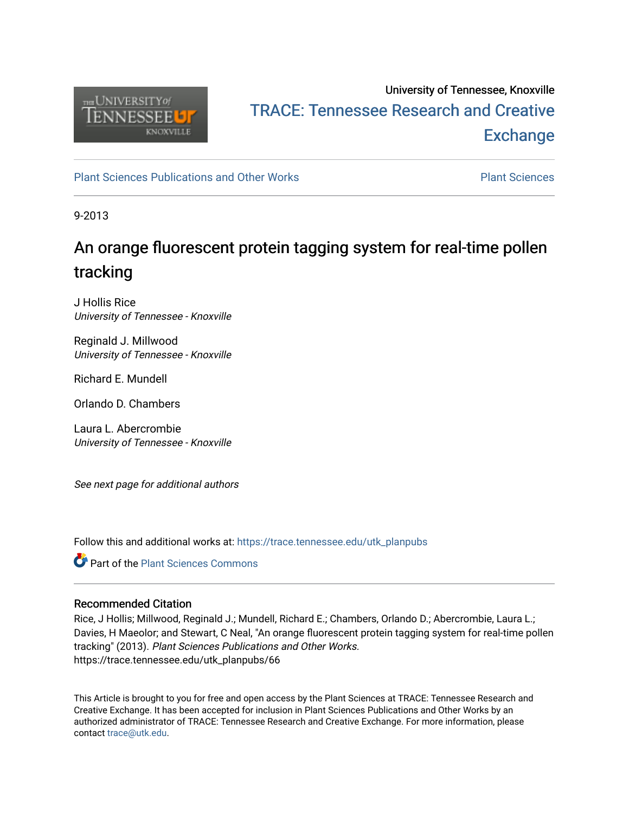

## University of Tennessee, Knoxville TRACE: T[ennessee Research and Cr](https://trace.tennessee.edu/)eative **Exchange**

[Plant Sciences Publications and Other Works](https://trace.tennessee.edu/utk_planpubs) [Plant Sciences](https://trace.tennessee.edu/utk-plan) 

9-2013

# An orange fluorescent protein tagging system for real-time pollen tracking

J Hollis Rice University of Tennessee - Knoxville

Reginald J. Millwood University of Tennessee - Knoxville

Richard E. Mundell

Orlando D. Chambers

Laura L. Abercrombie University of Tennessee - Knoxville

See next page for additional authors

Follow this and additional works at: [https://trace.tennessee.edu/utk\\_planpubs](https://trace.tennessee.edu/utk_planpubs?utm_source=trace.tennessee.edu%2Futk_planpubs%2F66&utm_medium=PDF&utm_campaign=PDFCoverPages) 

**Part of the [Plant Sciences Commons](https://network.bepress.com/hgg/discipline/102?utm_source=trace.tennessee.edu%2Futk_planpubs%2F66&utm_medium=PDF&utm_campaign=PDFCoverPages)** 

### Recommended Citation

Rice, J Hollis; Millwood, Reginald J.; Mundell, Richard E.; Chambers, Orlando D.; Abercrombie, Laura L.; Davies, H Maeolor; and Stewart, C Neal, "An orange fluorescent protein tagging system for real-time pollen tracking" (2013). Plant Sciences Publications and Other Works. https://trace.tennessee.edu/utk\_planpubs/66

This Article is brought to you for free and open access by the Plant Sciences at TRACE: Tennessee Research and Creative Exchange. It has been accepted for inclusion in Plant Sciences Publications and Other Works by an authorized administrator of TRACE: Tennessee Research and Creative Exchange. For more information, please contact [trace@utk.edu](mailto:trace@utk.edu).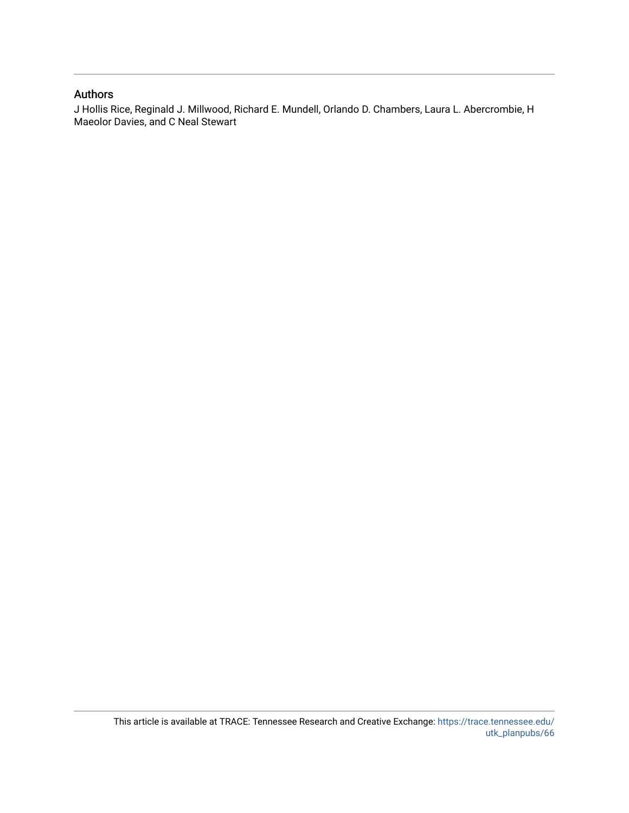#### Authors

J Hollis Rice, Reginald J. Millwood, Richard E. Mundell, Orlando D. Chambers, Laura L. Abercrombie, H Maeolor Davies, and C Neal Stewart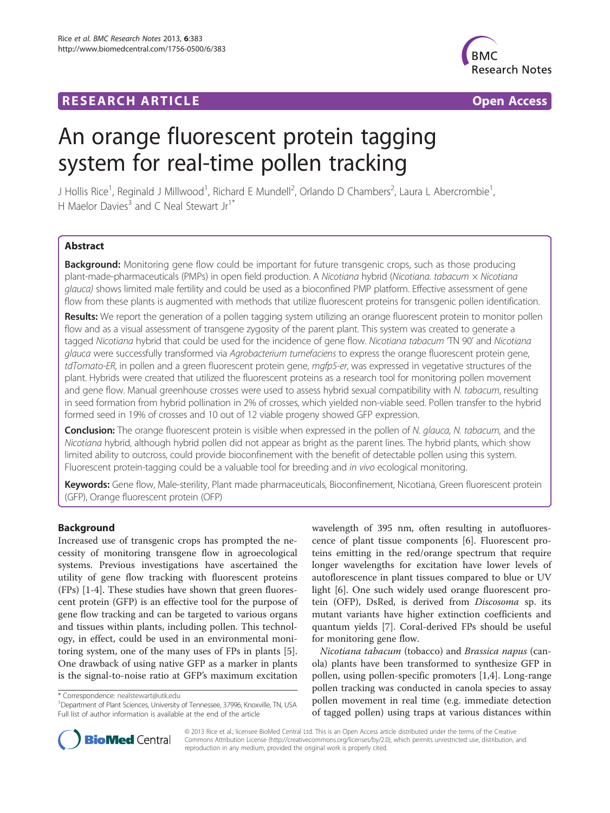## **RESEARCH ARTICLE Example 2014 CONSIDERING A RESEARCH ARTICLE**



# An orange fluorescent protein tagging system for real-time pollen tracking

J Hollis Rice<sup>1</sup>, Reginald J Millwood<sup>1</sup>, Richard E Mundell<sup>2</sup>, Orlando D Chambers<sup>2</sup>, Laura L Abercrombie<sup>1</sup> , H Maelor Davies<sup>3</sup> and C Neal Stewart  $Ir^{1*}$ 

#### Abstract

**Background:** Monitoring gene flow could be important for future transgenic crops, such as those producing plant-made-pharmaceuticals (PMPs) in open field production. A Nicotiana hybrid (Nicotiana. tabacum x Nicotiana glauca) shows limited male fertility and could be used as a bioconfined PMP platform. Effective assessment of gene flow from these plants is augmented with methods that utilize fluorescent proteins for transgenic pollen identification.

Results: We report the generation of a pollen tagging system utilizing an orange fluorescent protein to monitor pollen flow and as a visual assessment of transgene zygosity of the parent plant. This system was created to generate a tagged Nicotiana hybrid that could be used for the incidence of gene flow. Nicotiana tabacum 'TN 90' and Nicotiana glauca were successfully transformed via Agrobacterium tumefaciens to express the orange fluorescent protein gene, tdTomato-ER, in pollen and a green fluorescent protein gene, mgfp5-er, was expressed in vegetative structures of the plant. Hybrids were created that utilized the fluorescent proteins as a research tool for monitoring pollen movement and gene flow. Manual greenhouse crosses were used to assess hybrid sexual compatibility with N. tabacum, resulting in seed formation from hybrid pollination in 2% of crosses, which yielded non-viable seed. Pollen transfer to the hybrid formed seed in 19% of crosses and 10 out of 12 viable progeny showed GFP expression.

**Conclusion:** The orange fluorescent protein is visible when expressed in the pollen of N. glauca, N. tabacum, and the Nicotiana hybrid, although hybrid pollen did not appear as bright as the parent lines. The hybrid plants, which show limited ability to outcross, could provide bioconfinement with the benefit of detectable pollen using this system. Fluorescent protein-tagging could be a valuable tool for breeding and in vivo ecological monitoring.

Keywords: Gene flow, Male-sterility, Plant made pharmaceuticals, Bioconfinement, Nicotiana, Green fluorescent protein (GFP), Orange fluorescent protein (OFP)

#### Background

Increased use of transgenic crops has prompted the necessity of monitoring transgene flow in agroecological systems. Previous investigations have ascertained the utility of gene flow tracking with fluorescent proteins (FPs) [[1](#page-8-0)-[4\]](#page-8-0). These studies have shown that green fluorescent protein (GFP) is an effective tool for the purpose of gene flow tracking and can be targeted to various organs and tissues within plants, including pollen. This technology, in effect, could be used in an environmental monitoring system, one of the many uses of FPs in plants [\[5](#page-8-0)]. One drawback of using native GFP as a marker in plants is the signal-to-noise ratio at GFP's maximum excitation

\* Correspondence: [nealstewart@utk.edu](mailto:nealstewart@utk.edu) <sup>1</sup>

<sup>1</sup>Department of Plant Sciences, University of Tennessee, 37996, Knoxville, TN, USA Full list of author information is available at the end of the article

wavelength of 395 nm, often resulting in autofluorescence of plant tissue components [[6\]](#page-8-0). Fluorescent proteins emitting in the red/orange spectrum that require longer wavelengths for excitation have lower levels of autoflorescence in plant tissues compared to blue or UV light [\[6\]](#page-8-0). One such widely used orange fluorescent protein (OFP), DsRed, is derived from Discosoma sp. its mutant variants have higher extinction coefficients and quantum yields [\[7](#page-8-0)]. Coral-derived FPs should be useful for monitoring gene flow.

Nicotiana tabacum (tobacco) and Brassica napus (canola) plants have been transformed to synthesize GFP in pollen, using pollen-specific promoters [\[1,4](#page-8-0)]. Long-range pollen tracking was conducted in canola species to assay pollen movement in real time (e.g. immediate detection of tagged pollen) using traps at various distances within



© 2013 Rice et al.; licensee BioMed Central Ltd. This is an Open Access article distributed under the terms of the Creative Commons Attribution License [\(http://creativecommons.org/licenses/by/2.0\)](http://creativecommons.org/licenses/by/2.0), which permits unrestricted use, distribution, and reproduction in any medium, provided the original work is properly cited.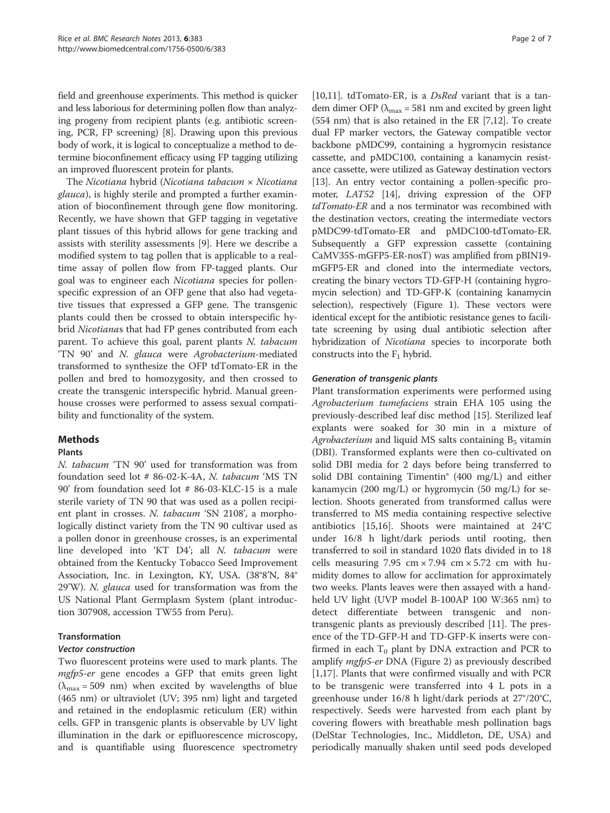field and greenhouse experiments. This method is quicker and less laborious for determining pollen flow than analyzing progeny from recipient plants (e.g. antibiotic screening, PCR, FP screening) [[8\]](#page-8-0). Drawing upon this previous body of work, it is logical to conceptualize a method to determine bioconfinement efficacy using FP tagging utilizing an improved fluorescent protein for plants.

The Nicotiana hybrid (Nicotiana tabacum  $\times$  Nicotiana glauca), is highly sterile and prompted a further examination of bioconfinement through gene flow monitoring. Recently, we have shown that GFP tagging in vegetative plant tissues of this hybrid allows for gene tracking and assists with sterility assessments [[9\]](#page-8-0). Here we describe a modified system to tag pollen that is applicable to a realtime assay of pollen flow from FP-tagged plants. Our goal was to engineer each Nicotiana species for pollenspecific expression of an OFP gene that also had vegetative tissues that expressed a GFP gene. The transgenic plants could then be crossed to obtain interspecific hybrid Nicotianas that had FP genes contributed from each parent. To achieve this goal, parent plants N. tabacum 'TN 90' and N. glauca were Agrobacterium-mediated transformed to synthesize the OFP tdTomato-ER in the pollen and bred to homozygosity, and then crossed to create the transgenic interspecific hybrid. Manual greenhouse crosses were performed to assess sexual compatibility and functionality of the system.

#### Methods

#### Plants

N. tabacum 'TN 90' used for transformation was from foundation seed lot # 86-02-K-4A, N. tabacum 'MS TN 90' from foundation seed lot # 86-03-KLC-15 is a male sterile variety of TN 90 that was used as a pollen recipient plant in crosses. N. tabacum 'SN 2108', a morphologically distinct variety from the TN 90 cultivar used as a pollen donor in greenhouse crosses, is an experimental line developed into 'KT D4'; all N. tabacum were obtained from the Kentucky Tobacco Seed Improvement Association, Inc. in Lexington, KY, USA. (38°8'N, 84° 29'W). N. *glauca* used for transformation was from the US National Plant Germplasm System (plant introduction 307908, accession TW55 from Peru).

#### Transformation

Two fluorescent proteins were used to mark plants. The *mgfp5-er* gene encodes a GFP that emits green light  $(\lambda_{\text{max}} = 509 \text{ nm})$  when excited by wavelengths of blue (465 nm) or ultraviolet (UV; 395 nm) light and targeted and retained in the endoplasmic reticulum (ER) within cells. GFP in transgenic plants is observable by UV light illumination in the dark or epifluorescence microscopy, and is quantifiable using fluorescence spectrometry

[[10,11\]](#page-8-0). tdTomato-ER, is a *DsRed* variant that is a tandem dimer OFP ( $\lambda_{\text{max}}$  = 581 nm and excited by green light (554 nm) that is also retained in the ER [[7,12](#page-8-0)]. To create dual FP marker vectors, the Gateway compatible vector backbone pMDC99, containing a hygromycin resistance cassette, and pMDC100, containing a kanamycin resistance cassette, were utilized as Gateway destination vectors [[13](#page-8-0)]. An entry vector containing a pollen-specific promoter, LAT52 [\[14\]](#page-8-0), driving expression of the OFP tdTomato-ER and a nos terminator was recombined with the destination vectors, creating the intermediate vectors pMDC99-tdTomato-ER and pMDC100-tdTomato-ER. Subsequently a GFP expression cassette (containing CaMV35S-mGFP5-ER-nosT) was amplified from pBIN19 mGFP5-ER and cloned into the intermediate vectors, creating the binary vectors TD-GFP-H (containing hygromycin selection) and TD-GFP-K (containing kanamycin selection), respectively (Figure [1](#page-4-0)). These vectors were identical except for the antibiotic resistance genes to facilitate screening by using dual antibiotic selection after hybridization of Nicotiana species to incorporate both constructs into the  $F_1$  hybrid.

Plant transformation experiments were performed using Agrobacterium tumefaciens strain EHA 105 using the previously-described leaf disc method [\[15](#page-8-0)]. Sterilized leaf explants were soaked for 30 min in a mixture of Agrobacterium and liquid MS salts containing  $B_5$  vitamin (DBI). Transformed explants were then co-cultivated on solid DBI media for 2 days before being transferred to solid DBI containing Timentin® (400 mg/L) and either kanamycin (200 mg/L) or hygromycin (50 mg/L) for selection. Shoots generated from transformed callus were transferred to MS media containing respective selective antibiotics [\[15,16\]](#page-8-0). Shoots were maintained at 24°C under 16/8 h light/dark periods until rooting, then transferred to soil in standard 1020 flats divided in to 18 cells measuring 7.95 cm  $\times$  7.94 cm  $\times$  5.72 cm with humidity domes to allow for acclimation for approximately two weeks. Plants leaves were then assayed with a handheld UV light (UVP model B-100AP 100 W:365 nm) to detect differentiate between transgenic and nontransgenic plants as previously described [[11\]](#page-8-0). The presence of the TD-GFP-H and TD-GFP-K inserts were confirmed in each  $T_0$  plant by DNA extraction and PCR to amplify mgfp5-er DNA (Figure [2](#page-4-0)) as previously described [[1,17\]](#page-8-0). Plants that were confirmed visually and with PCR to be transgenic were transferred into 4 L pots in a greenhouse under 16/8 h light/dark periods at 27°/20°C, respectively. Seeds were harvested from each plant by covering flowers with breathable mesh pollination bags (DelStar Technologies, Inc., Middleton, DE, USA) and periodically manually shaken until seed pods developed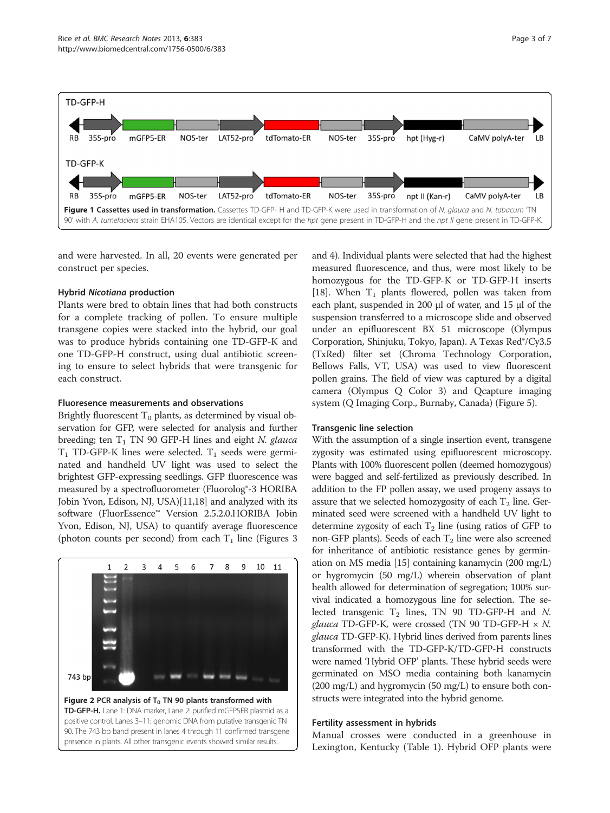<span id="page-4-0"></span>

and were harvested. In all, 20 events were generated per construct per species.

#### Hybrid Nicotiana production

Plants were bred to obtain lines that had both constructs for a complete tracking of pollen. To ensure multiple transgene copies were stacked into the hybrid, our goal was to produce hybrids containing one TD-GFP-K and one TD-GFP-H construct, using dual antibiotic screening to ensure to select hybrids that were transgenic for each construct.

#### Fluoresence measurements and observations

Brightly fluorescent  $T_0$  plants, as determined by visual observation for GFP, were selected for analysis and further breeding; ten  $T_1$  TN 90 GFP-H lines and eight N. glauca  $T_1$  TD-GFP-K lines were selected.  $T_1$  seeds were germinated and handheld UV light was used to select the brightest GFP-expressing seedlings. GFP fluorescence was measured by a spectrofluorometer (Fluorolog®-3 HORIBA Jobin Yvon, Edison, NJ, USA)[\[11,18\]](#page-8-0) and analyzed with its software (FluorEssence™ Version 2.5.2.0.HORIBA Jobin Yvon, Edison, NJ, USA) to quantify average fluorescence (photon counts per second) from each  $T_1$  line (Figures [3](#page-5-0))



and [4\)](#page-6-0). Individual plants were selected that had the highest measured fluorescence, and thus, were most likely to be homozygous for the TD-GFP-K or TD-GFP-H inserts [[18](#page-8-0)]. When  $T_1$  plants flowered, pollen was taken from each plant, suspended in 200 μl of water, and 15 μl of the suspension transferred to a microscope slide and observed under an epifluorescent BX 51 microscope (Olympus Corporation, Shinjuku, Tokyo, Japan). A Texas Red®/Cy3.5 (TxRed) filter set (Chroma Technology Corporation, Bellows Falls, VT, USA) was used to view fluorescent pollen grains. The field of view was captured by a digital camera (Olympus Q Color 3) and Qcapture imaging system (Q Imaging Corp., Burnaby, Canada) (Figure [5](#page-7-0)).

#### Transgenic line selection

With the assumption of a single insertion event, transgene zygosity was estimated using epifluorescent microscopy. Plants with 100% fluorescent pollen (deemed homozygous) were bagged and self-fertilized as previously described. In addition to the FP pollen assay, we used progeny assays to assure that we selected homozygosity of each  $T_2$  line. Germinated seed were screened with a handheld UV light to determine zygosity of each  $T_2$  line (using ratios of GFP to non-GFP plants). Seeds of each  $T<sub>2</sub>$  line were also screened for inheritance of antibiotic resistance genes by germination on MS media [[15](#page-8-0)] containing kanamycin (200 mg/L) or hygromycin (50 mg/L) wherein observation of plant health allowed for determination of segregation; 100% survival indicated a homozygous line for selection. The selected transgenic  $T_2$  lines, TN 90 TD-GFP-H and N. *glauca* TD-GFP-K, were crossed (TN 90 TD-GFP-H  $\times$  N. glauca TD-GFP-K). Hybrid lines derived from parents lines transformed with the TD-GFP-K/TD-GFP-H constructs were named 'Hybrid OFP' plants. These hybrid seeds were germinated on MSO media containing both kanamycin (200 mg/L) and hygromycin (50 mg/L) to ensure both constructs were integrated into the hybrid genome.

#### Fertility assessment in hybrids

Manual crosses were conducted in a greenhouse in Lexington, Kentucky (Table [1\)](#page-7-0). Hybrid OFP plants were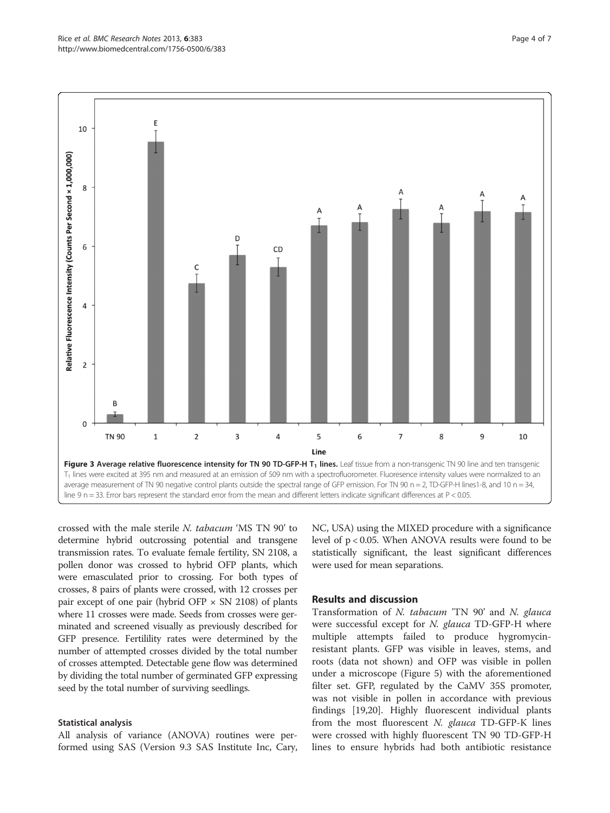<span id="page-5-0"></span>

crossed with the male sterile N. tabacum 'MS TN 90' to determine hybrid outcrossing potential and transgene transmission rates. To evaluate female fertility, SN 2108, a pollen donor was crossed to hybrid OFP plants, which were emasculated prior to crossing. For both types of crosses, 8 pairs of plants were crossed, with 12 crosses per pair except of one pair (hybrid OFP  $\times$  SN 2108) of plants where 11 crosses were made. Seeds from crosses were germinated and screened visually as previously described for GFP presence. Fertilility rates were determined by the number of attempted crosses divided by the total number of crosses attempted. Detectable gene flow was determined by dividing the total number of germinated GFP expressing seed by the total number of surviving seedlings.

#### Statistical analysis

All analysis of variance (ANOVA) routines were performed using SAS (Version 9.3 SAS Institute Inc, Cary, NC, USA) using the MIXED procedure with a significance level of p < 0.05. When ANOVA results were found to be statistically significant, the least significant differences were used for mean separations.

#### Results and discussion

Transformation of N. tabacum 'TN 90' and N. glauca were successful except for *N. glauca* TD-GFP-H where multiple attempts failed to produce hygromycinresistant plants. GFP was visible in leaves, stems, and roots (data not shown) and OFP was visible in pollen under a microscope (Figure [5\)](#page-7-0) with the aforementioned filter set. GFP, regulated by the CaMV 35S promoter, was not visible in pollen in accordance with previous findings [\[19,20\]](#page-8-0). Highly fluorescent individual plants from the most fluorescent N. glauca TD-GFP-K lines were crossed with highly fluorescent TN 90 TD-GFP-H lines to ensure hybrids had both antibiotic resistance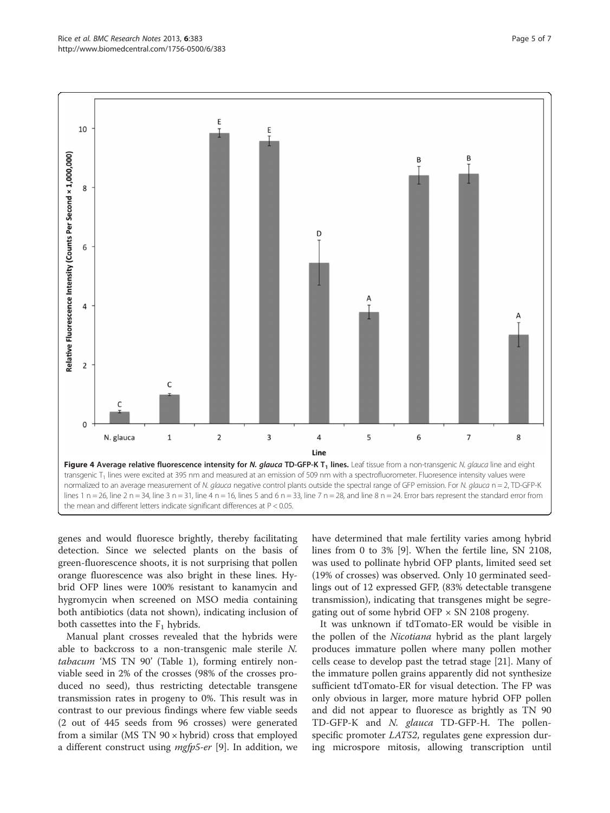<span id="page-6-0"></span>

genes and would fluoresce brightly, thereby facilitating detection. Since we selected plants on the basis of green-fluorescence shoots, it is not surprising that pollen orange fluorescence was also bright in these lines. Hybrid OFP lines were 100% resistant to kanamycin and hygromycin when screened on MSO media containing both antibiotics (data not shown), indicating inclusion of both cassettes into the  $F_1$  hybrids.

Manual plant crosses revealed that the hybrids were able to backcross to a non-transgenic male sterile N. tabacum 'MS TN 90' (Table [1](#page-7-0)), forming entirely nonviable seed in 2% of the crosses (98% of the crosses produced no seed), thus restricting detectable transgene transmission rates in progeny to 0%. This result was in contrast to our previous findings where few viable seeds (2 out of 445 seeds from 96 crosses) were generated from a similar (MS TN  $90 \times$  hybrid) cross that employed a different construct using  $mgfp5-er$  [[9](#page-8-0)]. In addition, we have determined that male fertility varies among hybrid lines from 0 to 3% [\[9](#page-8-0)]. When the fertile line, SN 2108, was used to pollinate hybrid OFP plants, limited seed set (19% of crosses) was observed. Only 10 germinated seedlings out of 12 expressed GFP, (83% detectable transgene transmission), indicating that transgenes might be segregating out of some hybrid OFP  $\times$  SN 2108 progeny.

It was unknown if tdTomato-ER would be visible in the pollen of the *Nicotiana* hybrid as the plant largely produces immature pollen where many pollen mother cells cease to develop past the tetrad stage [[21\]](#page-8-0). Many of the immature pollen grains apparently did not synthesize sufficient tdTomato-ER for visual detection. The FP was only obvious in larger, more mature hybrid OFP pollen and did not appear to fluoresce as brightly as TN 90 TD-GFP-K and N. glauca TD-GFP-H. The pollenspecific promoter LAT52, regulates gene expression during microspore mitosis, allowing transcription until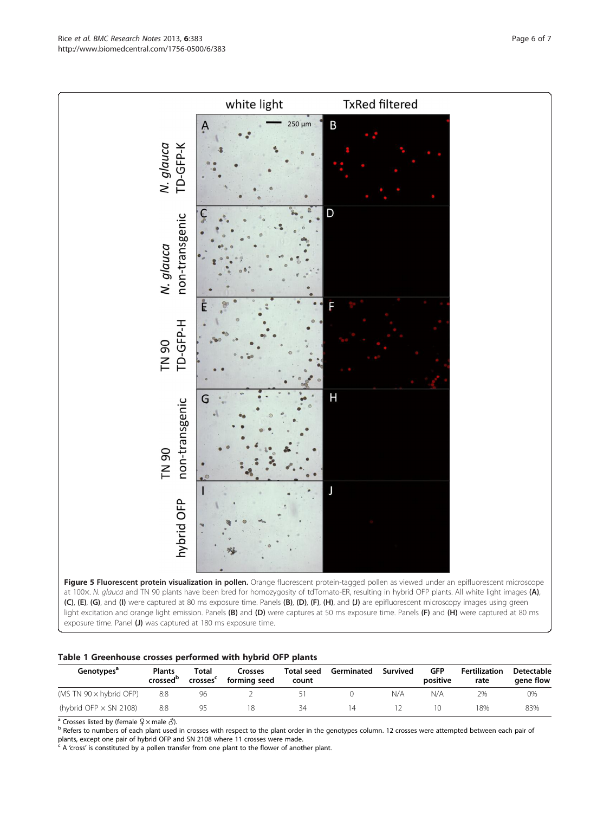Figure 5 Fluorescent protein visualization in pollen. Orange fluorescent protein-tagged pollen as viewed under an epifluorescent microscope at 100x. N. glauca and TN 90 plants have been bred for homozygosity of tdTomato-ER, resulting in hybrid OFP plants. All white light images (A), (C), (E), (G), and (I) were captured at 80 ms exposure time. Panels (B), (D), (F), (H), and (J) are epifluorescent microscopy images using green light excitation and orange light emission. Panels (B) and (D) were captures at 50 ms exposure time. Panels (F) and (H) were captured at 80 ms exposure time. Panel (J) was captured at 180 ms exposure time.



| Genotypes <sup>ª</sup>         | <b>Plants</b><br>crossed <sup>b</sup> | Total<br>crosses <sup>c</sup> | Crosses<br>forming seed | Total seed<br>count | Germinated | Survived | <b>GFP</b><br>positive | Fertilization<br>rate | Detectable<br>aene flow |
|--------------------------------|---------------------------------------|-------------------------------|-------------------------|---------------------|------------|----------|------------------------|-----------------------|-------------------------|
| (MS TN $90 \times$ hybrid OFP) | 8:8                                   | 96                            |                         |                     |            | N/A      | N/A                    | 2%                    | 0%                      |
| (hybrid OFP $\times$ SN 2108)  | 8:8                                   | 95                            |                         | 34                  | 14         |          |                        | 18%                   | 83%                     |

a Crosses listed by (female ♀ × male ♂).<br><sup>b</sup> Refers to numbers of each plant used in crosses with respect to the plant order in the genotypes column. 12 crosses were attempted between each pair of plants, except one pair of hybrid OFP and SN 2108 where 11 crosses were made.

 $c$  A 'cross' is constituted by a pollen transfer from one plant to the flower of another plant.

<span id="page-7-0"></span>